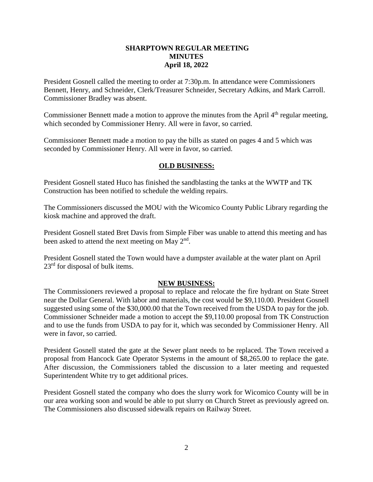## **SHARPTOWN REGULAR MEETING MINUTES April 18, 2022**

President Gosnell called the meeting to order at 7:30p.m. In attendance were Commissioners Bennett, Henry, and Schneider, Clerk/Treasurer Schneider, Secretary Adkins, and Mark Carroll. Commissioner Bradley was absent.

Commissioner Bennett made a motion to approve the minutes from the April  $4<sup>th</sup>$  regular meeting, which seconded by Commissioner Henry. All were in favor, so carried.

Commissioner Bennett made a motion to pay the bills as stated on pages 4 and 5 which was seconded by Commissioner Henry. All were in favor, so carried.

## **OLD BUSINESS:**

President Gosnell stated Huco has finished the sandblasting the tanks at the WWTP and TK Construction has been notified to schedule the welding repairs.

The Commissioners discussed the MOU with the Wicomico County Public Library regarding the kiosk machine and approved the draft.

President Gosnell stated Bret Davis from Simple Fiber was unable to attend this meeting and has been asked to attend the next meeting on May  $2<sup>nd</sup>$ .

President Gosnell stated the Town would have a dumpster available at the water plant on April 23<sup>rd</sup> for disposal of bulk items.

## **NEW BUSINESS:**

The Commissioners reviewed a proposal to replace and relocate the fire hydrant on State Street near the Dollar General. With labor and materials, the cost would be \$9,110.00. President Gosnell suggested using some of the \$30,000.00 that the Town received from the USDA to pay for the job. Commissioner Schneider made a motion to accept the \$9,110.00 proposal from TK Construction and to use the funds from USDA to pay for it, which was seconded by Commissioner Henry. All were in favor, so carried.

President Gosnell stated the gate at the Sewer plant needs to be replaced. The Town received a proposal from Hancock Gate Operator Systems in the amount of \$8,265.00 to replace the gate. After discussion, the Commissioners tabled the discussion to a later meeting and requested Superintendent White try to get additional prices.

President Gosnell stated the company who does the slurry work for Wicomico County will be in our area working soon and would be able to put slurry on Church Street as previously agreed on. The Commissioners also discussed sidewalk repairs on Railway Street.